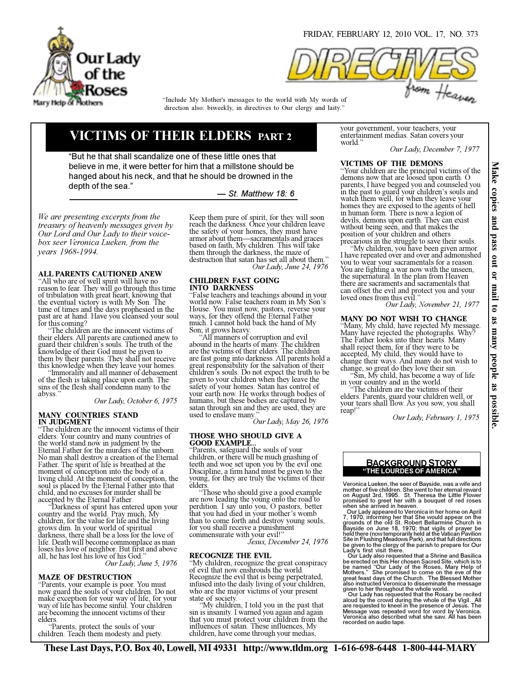

direction also: biweekly, in directives to Our clergy and laity." "Include My Mother's messages to the world with My words of

# VICTIMS OF THEIR ELDERS PART 2

"But he that shall scandalize one of these little ones that believe in me, it were better for him that a millstone should be hanged about his neck, and that he should be drowned in the depth of the sea."

— St. Matthew 18: 6

We are presenting excerpts from the treasury of heavenly messages given by Our Lord and Our Lady to their voicebox seer Veronica Lueken, from the years 1968-1994.

## ALL PARENTS CAUTIONED ANEW

"All who are of well spirit will have no reason to fear. They will go through this time of tribulation with great heart, knowing that the eventual victory is with My Son. The time of times and the days prophesied in the past are at hand. Have you cleansed your soul for this coming?

 "The children are the innocent victims of their elders. All parents are cautioned anew to guard their children's souls. The truth of the knowledge of their God must be given to them by their parents. They shall not receive this knowledge when they leave your homes.

 "Immorality and all manner of debasement of the flesh is taking place upon earth. The sins of the flesh shall condemn many to the abyss."

Our Lady, October 6, 1975

#### MANY COUNTRIES STAND IN JUDGMENT

"The children are the innocent victims of their elders. Your country and many countries of the world stand now in judgment by the Eternal Father for the murders of the unborn. No man shall destroy a creation of the Eternal Father. The spirit of life is breathed at the moment of conception into the body of a living child. At the moment of conception, the soul is placed by the Eternal Father into that child, and no excuses for murder shall be accepted by the Eternal Father.

 "Darkness of spirit has entered upon your country and the world. Pray much, My children, for the value for life and the living grows dim. In your world of spiritual darkness, there shall be a loss for the love of life. Death will become commonplace as man loses his love of neighbor. But first and above all, he has lost his love of his God." Our Lady, June 5, 1976

#### MAZE OF DESTRUCTION

"Parents, your example is poor. You must now guard the souls of your children. Do not make exception for your way of life, for your way of life has become sinful. Your children are becoming the innocent victims of their elders.

 "Parents, protect the souls of your children. Teach them modesty and piety. Keep them pure of spirit, for they will soon reach the darkness. Once your children leave the safety of your homes, they must have armor about them—sacramentals and graces based on faith, My children. This will take them through the darkness, the maze of destruction that satan has set all about them." Our Lady, June 24, 1976

#### CHILDREN FAST GOING INTO DARKNESS

"False teachers and teachings abound in your world now. False teachers roam in My Son's House. You must now, pastors, reverse your ways, for they offend the Eternal Father much. I cannot hold back the hand of My Son; it grows heavy.

All manners of corruption and evil abound in the hearts of many. The children are the victims of their elders. The children are fast going into darkness. All parents hold a great responsibility for the salvation of their children's souls. Do not expect the truth to be given to your children when they leave the safety of your homes. Satan has control of your earth now. He works through bodies of humans, but these bodies are captured by satan through sin and they are used, they are used to enslave many."

Our Lady, May 26, 1976

## THOSE WHO SHOULD GIVE A

**GOOD EXAMPLE.** "Parents, safeguard the souls of your children, or there will be much gnashing of teeth and woe set upon you by the evil one. Discipline, a firm hand must be given to the young, for they are truly the victims of their elders.

 "Those who should give a good example are now leading the young onto the road to perdition. I say unto you, O pastors, better that you had died in your mother's womb than to come forth and destroy young souls, for you shall receive a punishment commensurate with your evil!"<br>Jesus, December 24, 1976

#### RECOGNIZE THE EVIL

"My children, recognize the great conspiracy of evil that now enshrouds the world. Recognize the evil that is being perpetrated, infused into the daily living of your children, who are the major victims of your present state of society.

 "My children, I told you in the past that sin is insanity. I warned you again and again that you must protect your children from the influences of satan. These influences, My children, have come through your medias,

your government, your teachers, your entertainment medias. Satan covers your world."

Our Lady, December 7, 1977

## VICTIMS OF THE DEMONS

"Your children are the principal victims of the demons now that are loosed upon earth. O parents, I have begged you and counseled you in the past to guard your children's souls and watch them well, for when they leave your homes they are exposed to the agents of hell in human form. There is now a legion of devils, demons upon earth. They can exist without being seen, and that makes the position of your children and others precarious in the struggle to save their souls.

 "My children, you have been given armor. I have repeated over and over and admonished you to wear your sacramentals for a reason. You are fighting a war now with the unseen, the supernatural. In the plan from Heaven there are sacraments and sacramentals that can offset the evil and protect you and your loved ones from this evil.

Our Lady, November 21, 1977

## MANY DO NOT WISH TO CHANGE

"Many, My child, have rejected My message. Many have rejected the photographs. Why? The Father looks into their hearts. Many shall reject them, for if they were to be accepted, My child, they would have to change their ways. And many do not wish to change, so great do they love their sin.

 "Sin, My child, has become a way of life in your country and in the world.

The children are the victims of their elders. Parents, guard your children well, or your tears shall flow. As you sow, you shall reap!"

Our Lady, February 1, 1975

## "THE LOURDES OF AMERICA" BACKGROUND STORY

Veronica Lueken, the seer of Bayside, was a wife and mother of five children. She went to her eternal reward<br>on August 3rd, 1995. St. Theresa the Little Flower<br>promised to greet her with a bouquet of red roses<br>when she arrived in heaven.<br>Our Lady appeared to Veronica in her

7, 1970, informing her that She would appear on the<br>grounds of the old St. Robert Bellarmine Church in<br>Bayside on June 18, 1970; that vigils of prayer be<br>held there (now temporarily held at the Vatican Pavilion<br>Site in Flu Lady's first visit there.

Our Lady also requested that a Shrine and Basilica<br>be erected on this Her chosen Sacred Site, which is to<br>be named "Our Lady of the Roses, Mary Help of<br>Mothers." She promised to come on the eve of the<br>great feast days of t given to her throughout the whole world. Our Lady has requested that the Rosary be recited

aloud by the crowd during the whole of the Vigil. All are requested to kneel in the presence of Jesus. The Message was repeated word for word by Veronica. Veronica also described what she saw. All has been recorded on audio tape.